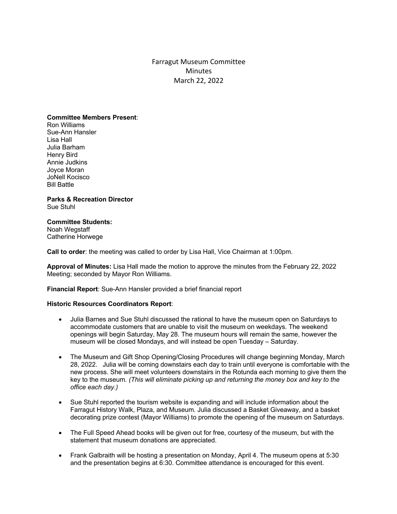Farragut Museum Committee **Minutes** March 22, 2022

## **Committee Members Present**:

Ron Williams Sue-Ann Hansler Lisa Hall Julia Barham Henry Bird Annie Judkins Joyce Moran JoNell Kocisco Bill Battle

## **Parks & Recreation Director** Sue Stuhl

# **Committee Students:**

Noah Wegstaff Catherine Horwege

**Call to order**: the meeting was called to order by Lisa Hall, Vice Chairman at 1:00pm.

**Approval of Minutes:** Lisa Hall made the motion to approve the minutes from the February 22, 2022 Meeting; seconded by Mayor Ron Williams.

**Financial Report**: Sue-Ann Hansler provided a brief financial report

## **Historic Resources Coordinators Report**:

- Julia Barnes and Sue Stuhl discussed the rational to have the museum open on Saturdays to accommodate customers that are unable to visit the museum on weekdays. The weekend openings will begin Saturday, May 28. The museum hours will remain the same, however the museum will be closed Mondays, and will instead be open Tuesday – Saturday.
- The Museum and Gift Shop Opening/Closing Procedures will change beginning Monday, March 28, 2022. Julia will be coming downstairs each day to train until everyone is comfortable with the new process. She will meet volunteers downstairs in the Rotunda each morning to give them the key to the museum. *(This will eliminate picking up and returning the money box and key to the office each day.)*
- Sue Stuhl reported the tourism website is expanding and will include information about the Farragut History Walk, Plaza, and Museum. Julia discussed a Basket Giveaway, and a basket decorating prize contest (Mayor Williams) to promote the opening of the museum on Saturdays.
- The Full Speed Ahead books will be given out for free, courtesy of the museum, but with the statement that museum donations are appreciated.
- Frank Galbraith will be hosting a presentation on Monday, April 4. The museum opens at 5:30 and the presentation begins at 6:30. Committee attendance is encouraged for this event.